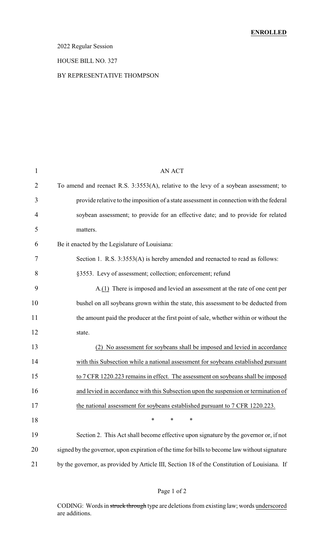### 2022 Regular Session

#### HOUSE BILL NO. 327

#### BY REPRESENTATIVE THOMPSON

| $\mathbf{1}$   | <b>AN ACT</b>                                                                                 |
|----------------|-----------------------------------------------------------------------------------------------|
| $\overline{2}$ | To amend and reenact R.S. 3:3553(A), relative to the levy of a soybean assessment; to         |
| 3              | provide relative to the imposition of a state assessment in connection with the federal       |
| 4              | soybean assessment; to provide for an effective date; and to provide for related              |
| 5              | matters.                                                                                      |
| 6              | Be it enacted by the Legislature of Louisiana:                                                |
| 7              | Section 1. R.S. 3:3553(A) is hereby amended and reenacted to read as follows:                 |
| 8              | §3553. Levy of assessment; collection; enforcement; refund                                    |
| 9              | A.(1) There is imposed and levied an assessment at the rate of one cent per                   |
| 10             | bushel on all soybeans grown within the state, this assessment to be deducted from            |
| 11             | the amount paid the producer at the first point of sale, whether within or without the        |
| 12             | state.                                                                                        |
| 13             | (2) No assessment for soybeans shall be imposed and levied in accordance                      |
| 14             | with this Subsection while a national assessment for soybeans established pursuant            |
| 15             | to 7 CFR 1220.223 remains in effect. The assessment on soybeans shall be imposed              |
| 16             | and levied in accordance with this Subsection upon the suspension or termination of           |
| 17             | the national assessment for soybeans established pursuant to 7 CFR 1220.223.                  |
| 18             | $\ast$<br>$\ast$<br>$\ast$                                                                    |
| 19             | Section 2. This Act shall become effective upon signature by the governor or, if not          |
| 20             | signed by the governor, upon expiration of the time for bills to become law without signature |
| 21             | by the governor, as provided by Article III, Section 18 of the Constitution of Louisiana. If  |
|                |                                                                                               |

CODING: Words in struck through type are deletions from existing law; words underscored are additions.